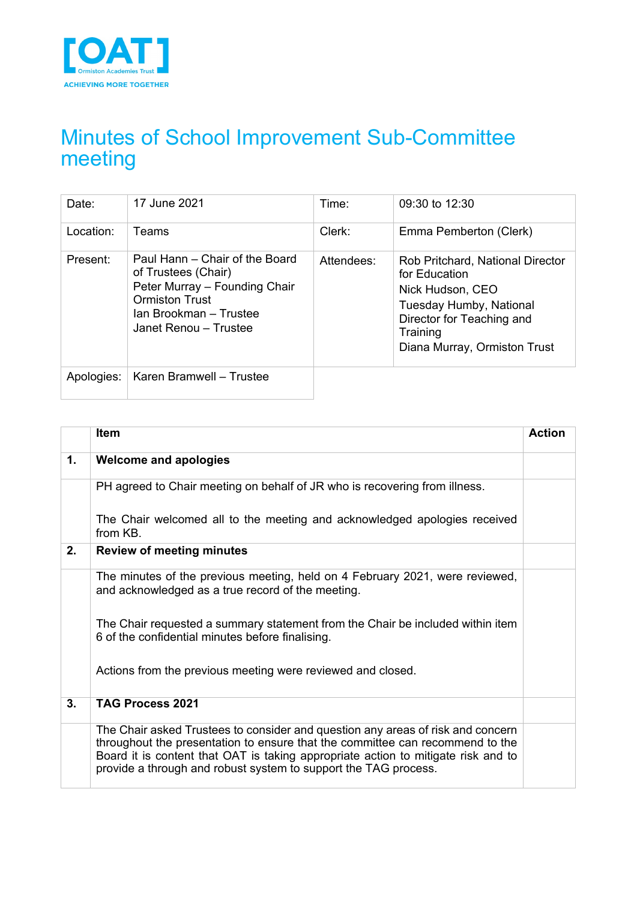

# Minutes of School Improvement Sub-Committee meeting

| Date:      | 17 June 2021                                                                                                                                                       | Time:      | 09:30 to 12:30                                                                                                                                                                   |
|------------|--------------------------------------------------------------------------------------------------------------------------------------------------------------------|------------|----------------------------------------------------------------------------------------------------------------------------------------------------------------------------------|
| Location:  | Teams                                                                                                                                                              | Clerk:     | Emma Pemberton (Clerk)                                                                                                                                                           |
| Present:   | Paul Hann – Chair of the Board<br>of Trustees (Chair)<br>Peter Murray - Founding Chair<br><b>Ormiston Trust</b><br>Ian Brookman - Trustee<br>Janet Renou - Trustee | Attendees: | <b>Rob Pritchard, National Director</b><br>for Education<br>Nick Hudson, CEO<br>Tuesday Humby, National<br>Director for Teaching and<br>Training<br>Diana Murray, Ormiston Trust |
| Apologies: | Karen Bramwell - Trustee                                                                                                                                           |            |                                                                                                                                                                                  |

|    | <b>Item</b>                                                                                                                                                                                                                                                                                                              | <b>Action</b> |
|----|--------------------------------------------------------------------------------------------------------------------------------------------------------------------------------------------------------------------------------------------------------------------------------------------------------------------------|---------------|
| 1. | <b>Welcome and apologies</b>                                                                                                                                                                                                                                                                                             |               |
|    | PH agreed to Chair meeting on behalf of JR who is recovering from illness.                                                                                                                                                                                                                                               |               |
|    | The Chair welcomed all to the meeting and acknowledged apologies received<br>from KB.                                                                                                                                                                                                                                    |               |
| 2. | <b>Review of meeting minutes</b>                                                                                                                                                                                                                                                                                         |               |
|    | The minutes of the previous meeting, held on 4 February 2021, were reviewed,<br>and acknowledged as a true record of the meeting.                                                                                                                                                                                        |               |
|    | The Chair requested a summary statement from the Chair be included within item<br>6 of the confidential minutes before finalising.                                                                                                                                                                                       |               |
|    | Actions from the previous meeting were reviewed and closed.                                                                                                                                                                                                                                                              |               |
| 3. | <b>TAG Process 2021</b>                                                                                                                                                                                                                                                                                                  |               |
|    | The Chair asked Trustees to consider and question any areas of risk and concern<br>throughout the presentation to ensure that the committee can recommend to the<br>Board it is content that OAT is taking appropriate action to mitigate risk and to<br>provide a through and robust system to support the TAG process. |               |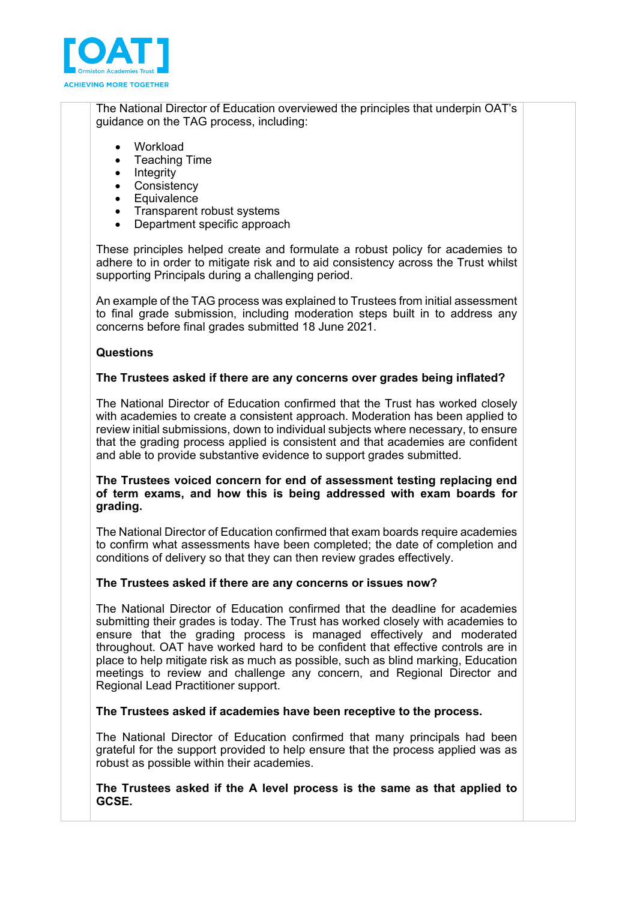

The National Director of Education overviewed the principles that underpin OAT's guidance on the TAG process, including:

- **Workload**
- Teaching Time<br>• Intearity
- **Integrity**
- **Consistency**
- **Equivalence**
- Transparent robust systems
- Department specific approach

These principles helped create and formulate a robust policy for academies to adhere to in order to mitigate risk and to aid consistency across the Trust whilst supporting Principals during a challenging period.

An example of the TAG process was explained to Trustees from initial assessment to final grade submission, including moderation steps built in to address any concerns before final grades submitted 18 June 2021.

## **Questions**

## **The Trustees asked if there are any concerns over grades being inflated?**

The National Director of Education confirmed that the Trust has worked closely with academies to create a consistent approach. Moderation has been applied to review initial submissions, down to individual subjects where necessary, to ensure that the grading process applied is consistent and that academies are confident and able to provide substantive evidence to support grades submitted.

### **The Trustees voiced concern for end of assessment testing replacing end of term exams, and how this is being addressed with exam boards for grading.**

The National Director of Education confirmed that exam boards require academies to confirm what assessments have been completed; the date of completion and conditions of delivery so that they can then review grades effectively.

### **The Trustees asked if there are any concerns or issues now?**

The National Director of Education confirmed that the deadline for academies submitting their grades is today. The Trust has worked closely with academies to ensure that the grading process is managed effectively and moderated throughout. OAT have worked hard to be confident that effective controls are in place to help mitigate risk as much as possible, such as blind marking, Education meetings to review and challenge any concern, and Regional Director and Regional Lead Practitioner support.

### **The Trustees asked if academies have been receptive to the process.**

The National Director of Education confirmed that many principals had been grateful for the support provided to help ensure that the process applied was as robust as possible within their academies.

**The Trustees asked if the A level process is the same as that applied to GCSE.**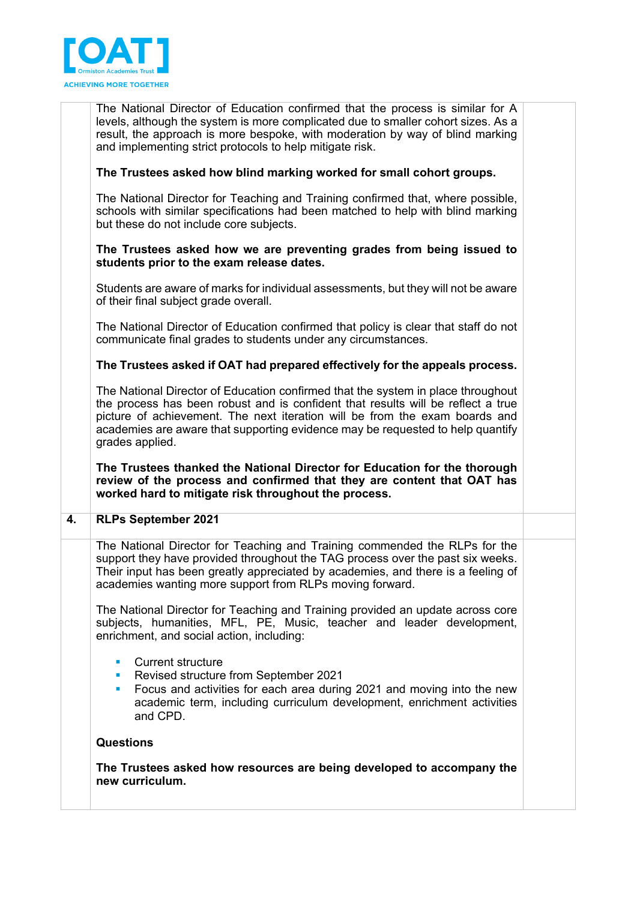

The National Director of Education confirmed that the process is similar for A levels, although the system is more complicated due to smaller cohort sizes. As a result, the approach is more bespoke, with moderation by way of blind marking and implementing strict protocols to help mitigate risk.

# **The Trustees asked how blind marking worked for small cohort groups.**

The National Director for Teaching and Training confirmed that, where possible, schools with similar specifications had been matched to help with blind marking but these do not include core subjects.

## **The Trustees asked how we are preventing grades from being issued to students prior to the exam release dates.**

Students are aware of marks for individual assessments, but they will not be aware of their final subject grade overall.

The National Director of Education confirmed that policy is clear that staff do not communicate final grades to students under any circumstances.

## **The Trustees asked if OAT had prepared effectively for the appeals process.**

The National Director of Education confirmed that the system in place throughout the process has been robust and is confident that results will be reflect a true picture of achievement. The next iteration will be from the exam boards and academies are aware that supporting evidence may be requested to help quantify grades applied.

**The Trustees thanked the National Director for Education for the thorough review of the process and confirmed that they are content that OAT has worked hard to mitigate risk throughout the process.** 

### **4. RLPs September 2021**

The National Director for Teaching and Training commended the RLPs for the support they have provided throughout the TAG process over the past six weeks. Their input has been greatly appreciated by academies, and there is a feeling of academies wanting more support from RLPs moving forward.

The National Director for Teaching and Training provided an update across core subjects, humanities, MFL, PE, Music, teacher and leader development, enrichment, and social action, including:

- Current structure
- Revised structure from September 2021
- Focus and activities for each area during 2021 and moving into the new academic term, including curriculum development, enrichment activities and CPD.

## **Questions**

**The Trustees asked how resources are being developed to accompany the new curriculum.**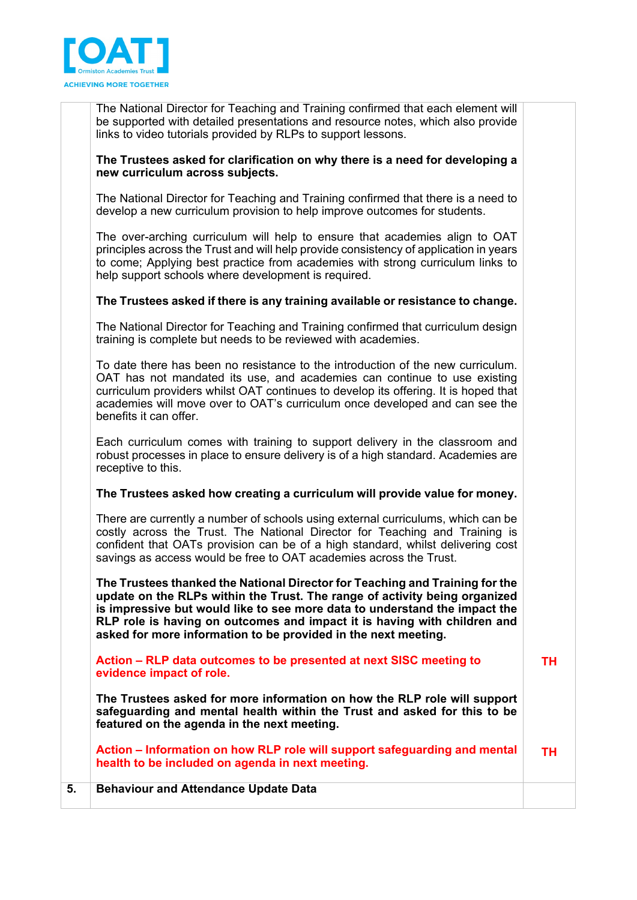

The National Director for Teaching and Training confirmed that each element will be supported with detailed presentations and resource notes, which also provide links to video tutorials provided by RLPs to support lessons.

## **The Trustees asked for clarification on why there is a need for developing a new curriculum across subjects.**

The National Director for Teaching and Training confirmed that there is a need to develop a new curriculum provision to help improve outcomes for students.

The over-arching curriculum will help to ensure that academies align to OAT principles across the Trust and will help provide consistency of application in years to come; Applying best practice from academies with strong curriculum links to help support schools where development is required.

## **The Trustees asked if there is any training available or resistance to change.**

The National Director for Teaching and Training confirmed that curriculum design training is complete but needs to be reviewed with academies.

To date there has been no resistance to the introduction of the new curriculum. OAT has not mandated its use, and academies can continue to use existing curriculum providers whilst OAT continues to develop its offering. It is hoped that academies will move over to OAT's curriculum once developed and can see the benefits it can offer.

Each curriculum comes with training to support delivery in the classroom and robust processes in place to ensure delivery is of a high standard. Academies are receptive to this.

# **The Trustees asked how creating a curriculum will provide value for money.**

There are currently a number of schools using external curriculums, which can be costly across the Trust. The National Director for Teaching and Training is confident that OATs provision can be of a high standard, whilst delivering cost savings as access would be free to OAT academies across the Trust.

**The Trustees thanked the National Director for Teaching and Training for the update on the RLPs within the Trust. The range of activity being organized is impressive but would like to see more data to understand the impact the RLP role is having on outcomes and impact it is having with children and asked for more information to be provided in the next meeting.** 

**Action – RLP data outcomes to be presented at next SISC meeting to evidence impact of role.** 

**TH**

**The Trustees asked for more information on how the RLP role will support safeguarding and mental health within the Trust and asked for this to be featured on the agenda in the next meeting.** 

**Action – Information on how RLP role will support safeguarding and mental health to be included on agenda in next meeting. TH**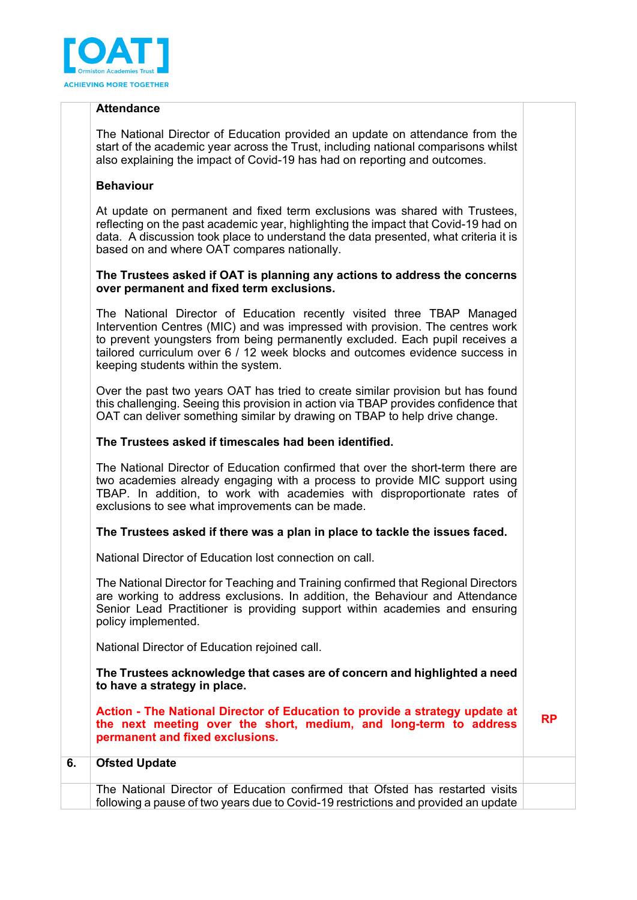

## **Attendance**

The National Director of Education provided an update on attendance from the start of the academic year across the Trust, including national comparisons whilst also explaining the impact of Covid-19 has had on reporting and outcomes.

## **Behaviour**

At update on permanent and fixed term exclusions was shared with Trustees, reflecting on the past academic year, highlighting the impact that Covid-19 had on data. A discussion took place to understand the data presented, what criteria it is based on and where OAT compares nationally.

## **The Trustees asked if OAT is planning any actions to address the concerns over permanent and fixed term exclusions.**

The National Director of Education recently visited three TBAP Managed Intervention Centres (MIC) and was impressed with provision. The centres work to prevent youngsters from being permanently excluded. Each pupil receives a tailored curriculum over 6 / 12 week blocks and outcomes evidence success in keeping students within the system.

Over the past two years OAT has tried to create similar provision but has found this challenging. Seeing this provision in action via TBAP provides confidence that OAT can deliver something similar by drawing on TBAP to help drive change.

## **The Trustees asked if timescales had been identified.**

The National Director of Education confirmed that over the short-term there are two academies already engaging with a process to provide MIC support using TBAP. In addition, to work with academies with disproportionate rates of exclusions to see what improvements can be made.

# **The Trustees asked if there was a plan in place to tackle the issues faced.**

National Director of Education lost connection on call.

The National Director for Teaching and Training confirmed that Regional Directors are working to address exclusions. In addition, the Behaviour and Attendance Senior Lead Practitioner is providing support within academies and ensuring policy implemented.

National Director of Education rejoined call.

**The Trustees acknowledge that cases are of concern and highlighted a need to have a strategy in place.** 

**Action - The National Director of Education to provide a strategy update at the next meeting over the short, medium, and long-term to address permanent and fixed exclusions. RP**

| <b>Ofsted Update</b>                                                                                                                                                |  |
|---------------------------------------------------------------------------------------------------------------------------------------------------------------------|--|
| The National Director of Education confirmed that Ofsted has restarted visits<br>following a pause of two years due to Covid-19 restrictions and provided an update |  |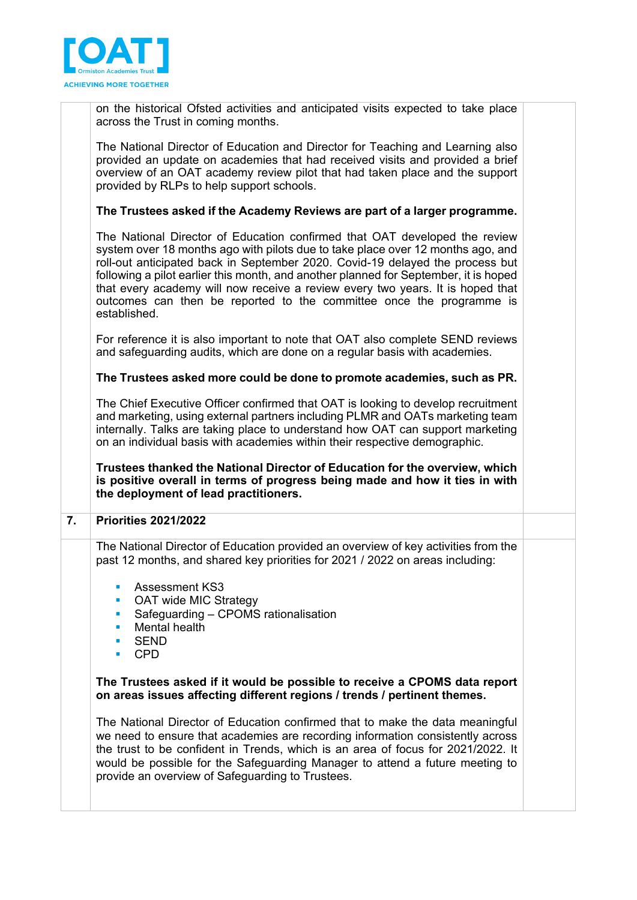

on the historical Ofsted activities and anticipated visits expected to take place across the Trust in coming months.

The National Director of Education and Director for Teaching and Learning also provided an update on academies that had received visits and provided a brief overview of an OAT academy review pilot that had taken place and the support provided by RLPs to help support schools.

## **The Trustees asked if the Academy Reviews are part of a larger programme.**

The National Director of Education confirmed that OAT developed the review system over 18 months ago with pilots due to take place over 12 months ago, and roll-out anticipated back in September 2020. Covid-19 delayed the process but following a pilot earlier this month, and another planned for September, it is hoped that every academy will now receive a review every two years. It is hoped that outcomes can then be reported to the committee once the programme is established.

For reference it is also important to note that OAT also complete SEND reviews and safeguarding audits, which are done on a regular basis with academies.

### **The Trustees asked more could be done to promote academies, such as PR.**

The Chief Executive Officer confirmed that OAT is looking to develop recruitment and marketing, using external partners including PLMR and OATs marketing team internally. Talks are taking place to understand how OAT can support marketing on an individual basis with academies within their respective demographic.

**Trustees thanked the National Director of Education for the overview, which is positive overall in terms of progress being made and how it ties in with the deployment of lead practitioners.** 

### **7. Priorities 2021/2022**

The National Director of Education provided an overview of key activities from the past 12 months, and shared key priorities for 2021 / 2022 on areas including:

- Assessment KS3
- OAT wide MIC Strategy
- Safeguarding CPOMS rationalisation
- **Mental health**
- **SEND**
- CPD

**The Trustees asked if it would be possible to receive a CPOMS data report on areas issues affecting different regions / trends / pertinent themes.** 

The National Director of Education confirmed that to make the data meaningful we need to ensure that academies are recording information consistently across the trust to be confident in Trends, which is an area of focus for 2021/2022. It would be possible for the Safeguarding Manager to attend a future meeting to provide an overview of Safeguarding to Trustees.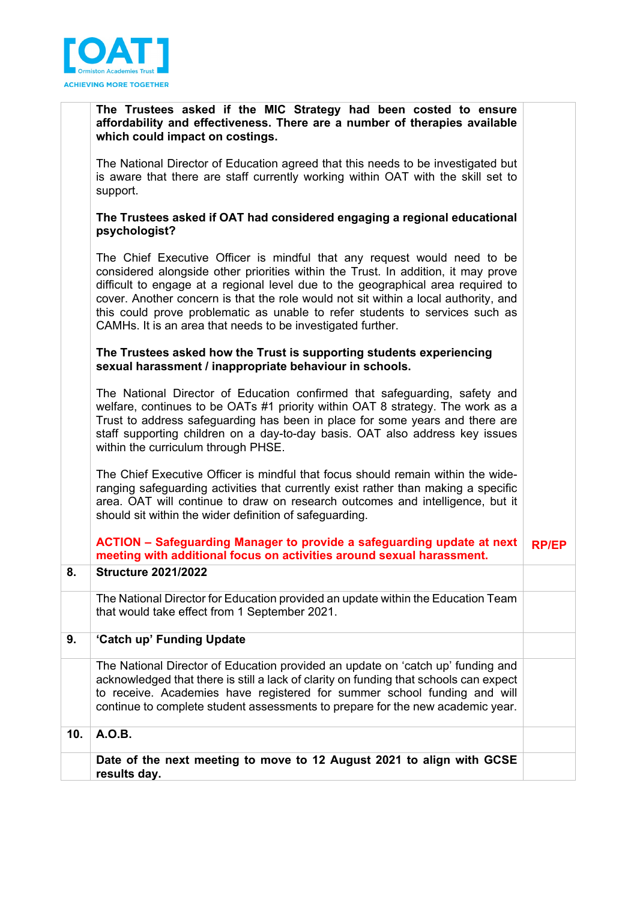

|     | The Trustees asked if the MIC Strategy had been costed to ensure<br>affordability and effectiveness. There are a number of therapies available<br>which could impact on costings.                                                                                                                                                                                                                                                                                                       |              |
|-----|-----------------------------------------------------------------------------------------------------------------------------------------------------------------------------------------------------------------------------------------------------------------------------------------------------------------------------------------------------------------------------------------------------------------------------------------------------------------------------------------|--------------|
|     | The National Director of Education agreed that this needs to be investigated but<br>is aware that there are staff currently working within OAT with the skill set to<br>support.                                                                                                                                                                                                                                                                                                        |              |
|     | The Trustees asked if OAT had considered engaging a regional educational<br>psychologist?                                                                                                                                                                                                                                                                                                                                                                                               |              |
|     | The Chief Executive Officer is mindful that any request would need to be<br>considered alongside other priorities within the Trust. In addition, it may prove<br>difficult to engage at a regional level due to the geographical area required to<br>cover. Another concern is that the role would not sit within a local authority, and<br>this could prove problematic as unable to refer students to services such as<br>CAMHs. It is an area that needs to be investigated further. |              |
|     | The Trustees asked how the Trust is supporting students experiencing<br>sexual harassment / inappropriate behaviour in schools.                                                                                                                                                                                                                                                                                                                                                         |              |
|     | The National Director of Education confirmed that safeguarding, safety and<br>welfare, continues to be OATs #1 priority within OAT 8 strategy. The work as a<br>Trust to address safeguarding has been in place for some years and there are<br>staff supporting children on a day-to-day basis. OAT also address key issues<br>within the curriculum through PHSE.                                                                                                                     |              |
|     | The Chief Executive Officer is mindful that focus should remain within the wide-<br>ranging safeguarding activities that currently exist rather than making a specific<br>area. OAT will continue to draw on research outcomes and intelligence, but it<br>should sit within the wider definition of safeguarding.                                                                                                                                                                      |              |
|     | ACTION - Safeguarding Manager to provide a safeguarding update at next<br>meeting with additional focus on activities around sexual harassment.                                                                                                                                                                                                                                                                                                                                         | <b>RP/EP</b> |
| 8.  | <b>Structure 2021/2022</b>                                                                                                                                                                                                                                                                                                                                                                                                                                                              |              |
|     | The National Director for Education provided an update within the Education Team<br>that would take effect from 1 September 2021.                                                                                                                                                                                                                                                                                                                                                       |              |
| 9.  | 'Catch up' Funding Update                                                                                                                                                                                                                                                                                                                                                                                                                                                               |              |
|     | The National Director of Education provided an update on 'catch up' funding and<br>acknowledged that there is still a lack of clarity on funding that schools can expect<br>to receive. Academies have registered for summer school funding and will<br>continue to complete student assessments to prepare for the new academic year.                                                                                                                                                  |              |
| 10. | A.O.B.                                                                                                                                                                                                                                                                                                                                                                                                                                                                                  |              |
|     | Date of the next meeting to move to 12 August 2021 to align with GCSE<br>results day.                                                                                                                                                                                                                                                                                                                                                                                                   |              |
|     |                                                                                                                                                                                                                                                                                                                                                                                                                                                                                         |              |